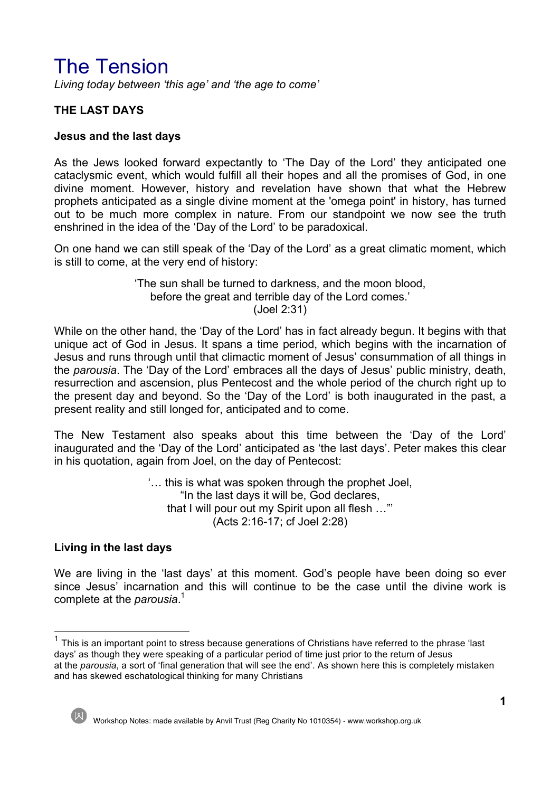# The Tension

*Living today between 'this age' and 'the age to come'*

# **THE LAST DAYS**

#### **Jesus and the last days**

As the Jews looked forward expectantly to 'The Day of the Lord' they anticipated one cataclysmic event, which would fulfill all their hopes and all the promises of God, in one divine moment. However, history and revelation have shown that what the Hebrew prophets anticipated as a single divine moment at the 'omega point' in history, has turned out to be much more complex in nature. From our standpoint we now see the truth enshrined in the idea of the 'Day of the Lord' to be paradoxical.

On one hand we can still speak of the 'Day of the Lord' as a great climatic moment, which is still to come, at the very end of history:

> 'The sun shall be turned to darkness, and the moon blood, before the great and terrible day of the Lord comes.' (Joel 2:31)

While on the other hand, the 'Day of the Lord' has in fact already begun. It begins with that unique act of God in Jesus. It spans a time period, which begins with the incarnation of Jesus and runs through until that climactic moment of Jesus' consummation of all things in the *parousia*. The 'Day of the Lord' embraces all the days of Jesus' public ministry, death, resurrection and ascension, plus Pentecost and the whole period of the church right up to the present day and beyond. So the 'Day of the Lord' is both inaugurated in the past, a present reality and still longed for, anticipated and to come.

The New Testament also speaks about this time between the 'Day of the Lord' inaugurated and the 'Day of the Lord' anticipated as 'the last days'. Peter makes this clear in his quotation, again from Joel, on the day of Pentecost:

> '… this is what was spoken through the prophet Joel, "In the last days it will be, God declares, that I will pour out my Spirit upon all flesh …"' (Acts 2:16-17; cf Joel 2:28)

#### **Living in the last days**

We are living in the 'last days' at this moment. God's people have been doing so ever since Jesus' incarnation and this will continue to be the case until the divine work is complete at the *parousia*. 1

 $1$  This is an important point to stress because generations of Christians have referred to the phrase 'last days' as though they were speaking of a particular period of time just prior to the return of Jesus at the *parousia*, a sort of 'final generation that will see the end'. As shown here this is completely mistaken and has skewed eschatological thinking for many Christians

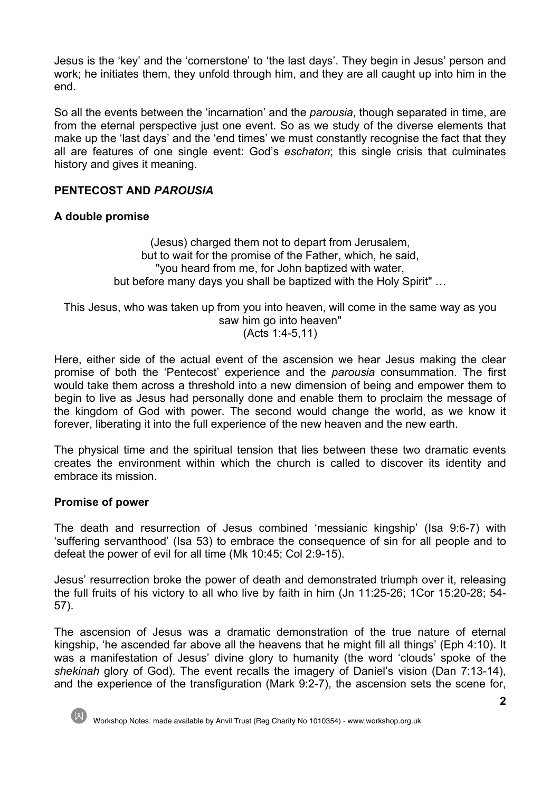Jesus is the 'key' and the 'cornerstone' to 'the last days'. They begin in Jesus' person and work; he initiates them, they unfold through him, and they are all caught up into him in the end.

So all the events between the 'incarnation' and the *parousia*, though separated in time, are from the eternal perspective just one event. So as we study of the diverse elements that make up the 'last days' and the 'end times' we must constantly recognise the fact that they all are features of one single event: God's *eschaton*; this single crisis that culminates history and gives it meaning.

## **PENTECOST AND** *PAROUSIA*

#### **A double promise**

(Jesus) charged them not to depart from Jerusalem, but to wait for the promise of the Father, which, he said, "you heard from me, for John baptized with water, but before many days you shall be baptized with the Holy Spirit" …

This Jesus, who was taken up from you into heaven, will come in the same way as you saw him go into heaven" (Acts 1:4-5,11)

Here, either side of the actual event of the ascension we hear Jesus making the clear promise of both the 'Pentecost' experience and the *parousia* consummation. The first would take them across a threshold into a new dimension of being and empower them to begin to live as Jesus had personally done and enable them to proclaim the message of the kingdom of God with power. The second would change the world, as we know it forever, liberating it into the full experience of the new heaven and the new earth.

The physical time and the spiritual tension that lies between these two dramatic events creates the environment within which the church is called to discover its identity and embrace its mission.

#### **Promise of power**

The death and resurrection of Jesus combined 'messianic kingship' (Isa 9:6-7) with 'suffering servanthood' (Isa 53) to embrace the consequence of sin for all people and to defeat the power of evil for all time (Mk 10:45; Col 2:9-15).

Jesus' resurrection broke the power of death and demonstrated triumph over it, releasing the full fruits of his victory to all who live by faith in him (Jn 11:25-26; 1Cor 15:20-28; 54- 57).

The ascension of Jesus was a dramatic demonstration of the true nature of eternal kingship, 'he ascended far above all the heavens that he might fill all things' (Eph 4:10). It was a manifestation of Jesus' divine glory to humanity (the word 'clouds' spoke of the *shekinah* glory of God). The event recalls the imagery of Daniel's vision (Dan 7:13-14), and the experience of the transfiguration (Mark 9:2-7), the ascension sets the scene for,

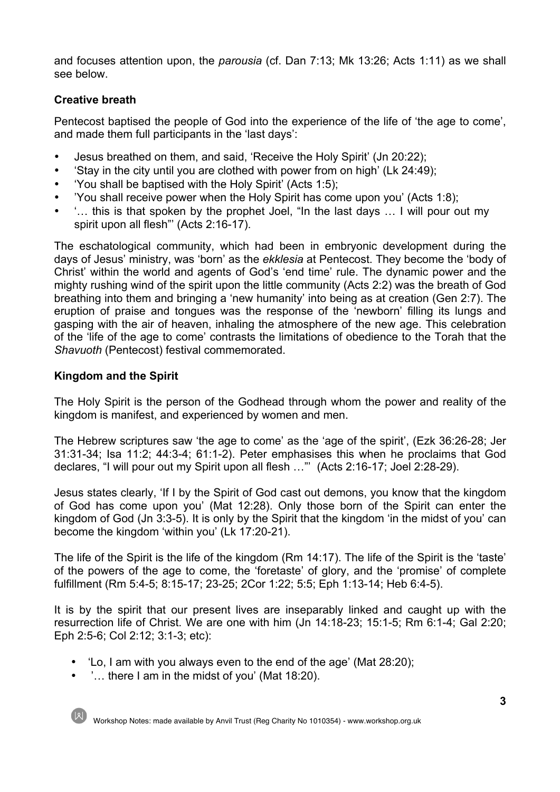and focuses attention upon, the *parousia* (cf. Dan 7:13; Mk 13:26; Acts 1:11) as we shall see below.

## **Creative breath**

Pentecost baptised the people of God into the experience of the life of 'the age to come', and made them full participants in the 'last days':

- Jesus breathed on them, and said, 'Receive the Holy Spirit' (Jn 20:22);
- 'Stay in the city until you are clothed with power from on high' (Lk 24:49);
- 'You shall be baptised with the Holy Spirit' (Acts 1:5);
- 'You shall receive power when the Holy Spirit has come upon you' (Acts 1:8);
- '… this is that spoken by the prophet Joel, "In the last days … I will pour out my spirit upon all flesh"' (Acts 2:16-17).

The eschatological community, which had been in embryonic development during the days of Jesus' ministry, was 'born' as the *ekklesia* at Pentecost. They become the 'body of Christ' within the world and agents of God's 'end time' rule. The dynamic power and the mighty rushing wind of the spirit upon the little community (Acts 2:2) was the breath of God breathing into them and bringing a 'new humanity' into being as at creation (Gen 2:7). The eruption of praise and tongues was the response of the 'newborn' filling its lungs and gasping with the air of heaven, inhaling the atmosphere of the new age. This celebration of the 'life of the age to come' contrasts the limitations of obedience to the Torah that the *Shavuoth* (Pentecost) festival commemorated.

## **Kingdom and the Spirit**

The Holy Spirit is the person of the Godhead through whom the power and reality of the kingdom is manifest, and experienced by women and men.

The Hebrew scriptures saw 'the age to come' as the 'age of the spirit', (Ezk 36:26-28; Jer 31:31-34; Isa 11:2; 44:3-4; 61:1-2). Peter emphasises this when he proclaims that God declares, "I will pour out my Spirit upon all flesh …"' (Acts 2:16-17; Joel 2:28-29).

Jesus states clearly, 'If I by the Spirit of God cast out demons, you know that the kingdom of God has come upon you' (Mat 12:28). Only those born of the Spirit can enter the kingdom of God (Jn 3:3-5). It is only by the Spirit that the kingdom 'in the midst of you' can become the kingdom 'within you' (Lk 17:20-21).

The life of the Spirit is the life of the kingdom (Rm 14:17). The life of the Spirit is the 'taste' of the powers of the age to come, the 'foretaste' of glory, and the 'promise' of complete fulfillment (Rm 5:4-5; 8:15-17; 23-25; 2Cor 1:22; 5:5; Eph 1:13-14; Heb 6:4-5).

It is by the spirit that our present lives are inseparably linked and caught up with the resurrection life of Christ. We are one with him (Jn 14:18-23; 15:1-5; Rm 6:1-4; Gal 2:20; Eph 2:5-6; Col 2:12; 3:1-3; etc):

- 'Lo, I am with you always even to the end of the age' (Mat 28:20);
- '… there I am in the midst of you' (Mat 18:20).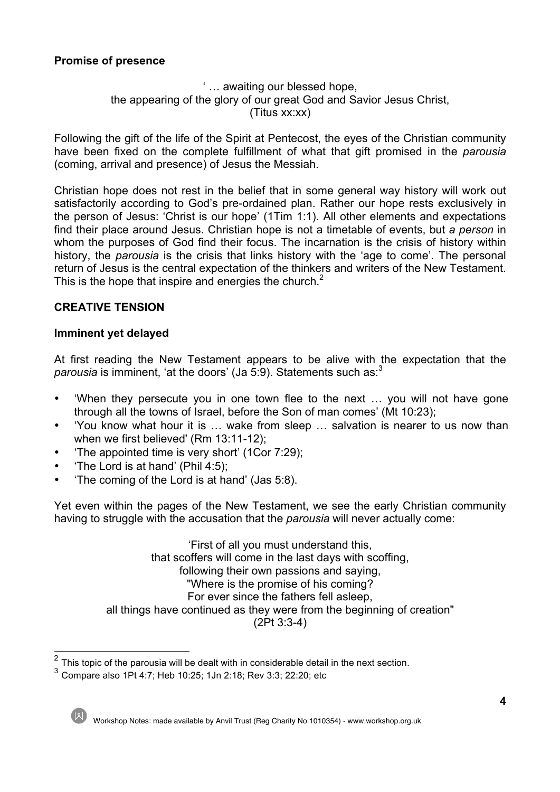## **Promise of presence**

## ' … awaiting our blessed hope, the appearing of the glory of our great God and Savior Jesus Christ, (Titus xx:xx)

Following the gift of the life of the Spirit at Pentecost, the eyes of the Christian community have been fixed on the complete fulfillment of what that gift promised in the *parousia* (coming, arrival and presence) of Jesus the Messiah.

Christian hope does not rest in the belief that in some general way history will work out satisfactorily according to God's pre-ordained plan. Rather our hope rests exclusively in the person of Jesus: 'Christ is our hope' (1Tim 1:1). All other elements and expectations find their place around Jesus. Christian hope is not a timetable of events, but *a person* in whom the purposes of God find their focus. The incarnation is the crisis of history within history, the *parousia* is the crisis that links history with the 'age to come'. The personal return of Jesus is the central expectation of the thinkers and writers of the New Testament. This is the hope that inspire and energies the church. $2^2$ 

## **CREATIVE TENSION**

## **Imminent yet delayed**

At first reading the New Testament appears to be alive with the expectation that the *parousia* is imminent, 'at the doors' (Ja 5:9). Statements such as:<sup>3</sup>

- 'When they persecute you in one town flee to the next … you will not have gone through all the towns of Israel, before the Son of man comes' (Mt 10:23);
- 'You know what hour it is … wake from sleep … salvation is nearer to us now than when we first believed' (Rm 13:11-12);
- 'The appointed time is very short' (1Cor 7:29);
- 'The Lord is at hand' (Phil 4:5);
- 'The coming of the Lord is at hand' (Jas 5:8).

Yet even within the pages of the New Testament, we see the early Christian community having to struggle with the accusation that the *parousia* will never actually come:

> 'First of all you must understand this, that scoffers will come in the last days with scoffing, following their own passions and saying, "Where is the promise of his coming? For ever since the fathers fell asleep, all things have continued as they were from the beginning of creation" (2Pt 3:3-4)

 $2$  This topic of the parousia will be dealt with in considerable detail in the next section.

 $3$  Compare also 1Pt 4:7; Heb 10:25; 1Jn 2:18; Rev 3:3; 22:20; etc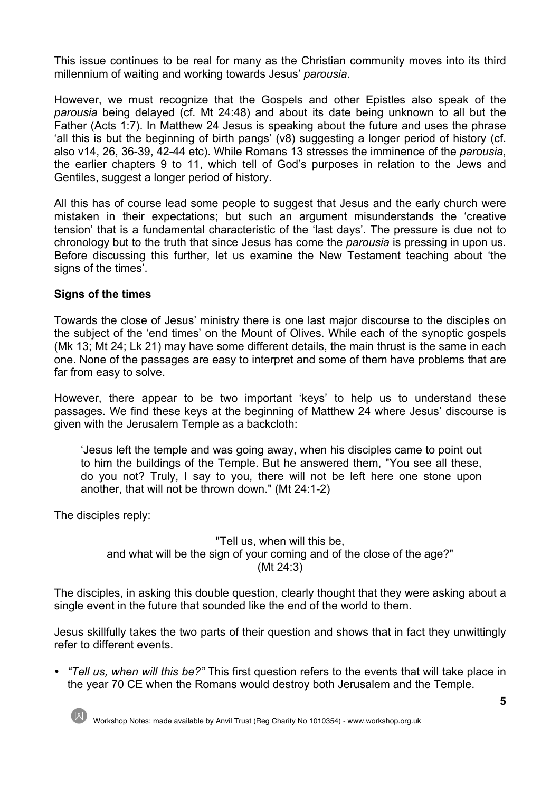This issue continues to be real for many as the Christian community moves into its third millennium of waiting and working towards Jesus' *parousia*.

However, we must recognize that the Gospels and other Epistles also speak of the *parousia* being delayed (cf. Mt 24:48) and about its date being unknown to all but the Father (Acts 1:7). In Matthew 24 Jesus is speaking about the future and uses the phrase 'all this is but the beginning of birth pangs' (v8) suggesting a longer period of history (cf. also v14, 26, 36-39, 42-44 etc). While Romans 13 stresses the imminence of the *parousia*, the earlier chapters 9 to 11, which tell of God's purposes in relation to the Jews and Gentiles, suggest a longer period of history.

All this has of course lead some people to suggest that Jesus and the early church were mistaken in their expectations; but such an argument misunderstands the 'creative tension' that is a fundamental characteristic of the 'last days'. The pressure is due not to chronology but to the truth that since Jesus has come the *parousia* is pressing in upon us. Before discussing this further, let us examine the New Testament teaching about 'the signs of the times'.

## **Signs of the times**

Towards the close of Jesus' ministry there is one last major discourse to the disciples on the subject of the 'end times' on the Mount of Olives. While each of the synoptic gospels (Mk 13; Mt 24; Lk 21) may have some different details, the main thrust is the same in each one. None of the passages are easy to interpret and some of them have problems that are far from easy to solve.

However, there appear to be two important 'keys' to help us to understand these passages. We find these keys at the beginning of Matthew 24 where Jesus' discourse is given with the Jerusalem Temple as a backcloth:

'Jesus left the temple and was going away, when his disciples came to point out to him the buildings of the Temple. But he answered them, "You see all these, do you not? Truly, I say to you, there will not be left here one stone upon another, that will not be thrown down." (Mt 24:1-2)

The disciples reply:

"Tell us, when will this be, and what will be the sign of your coming and of the close of the age?" (Mt 24:3)

The disciples, in asking this double question, clearly thought that they were asking about a single event in the future that sounded like the end of the world to them.

Jesus skillfully takes the two parts of their question and shows that in fact they unwittingly refer to different events.

• *"Tell us, when will this be?"* This first question refers to the events that will take place in the year 70 CE when the Romans would destroy both Jerusalem and the Temple.

Workshop Notes: made available by Anvil Trust (Reg Charity No 1010354) - www.workshop.org.uk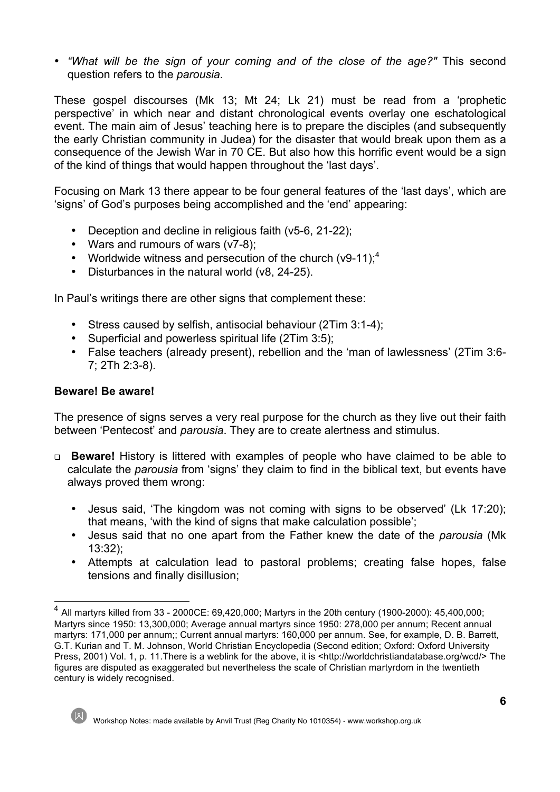• *"What will be the sign of your coming and of the close of the age?"* This second question refers to the *parousia*.

These gospel discourses (Mk 13; Mt 24; Lk 21) must be read from a 'prophetic perspective' in which near and distant chronological events overlay one eschatological event. The main aim of Jesus' teaching here is to prepare the disciples (and subsequently the early Christian community in Judea) for the disaster that would break upon them as a consequence of the Jewish War in 70 CE. But also how this horrific event would be a sign of the kind of things that would happen throughout the 'last days'.

Focusing on Mark 13 there appear to be four general features of the 'last days', which are 'signs' of God's purposes being accomplished and the 'end' appearing:

- Deception and decline in religious faith (v5-6, 21-22);
- Wars and rumours of wars (v7-8);
- Worldwide witness and persecution of the church  $(v9-11)$ ;<sup>4</sup>
- Disturbances in the natural world (v8, 24-25).

In Paul's writings there are other signs that complement these:

- Stress caused by selfish, antisocial behaviour (2Tim 3:1-4);
- Superficial and powerless spiritual life (2Tim 3:5);
- False teachers (already present), rebellion and the 'man of lawlessness' (2Tim 3:6- 7; 2Th 2:3-8).

## **Beware! Be aware!**

The presence of signs serves a very real purpose for the church as they live out their faith between 'Pentecost' and *parousia*. They are to create alertness and stimulus.

- <sup>q</sup> **Beware!** History is littered with examples of people who have claimed to be able to calculate the *parousia* from 'signs' they claim to find in the biblical text, but events have always proved them wrong:
	- Jesus said, 'The kingdom was not coming with signs to be observed' (Lk 17:20); that means, 'with the kind of signs that make calculation possible';
	- Jesus said that no one apart from the Father knew the date of the *parousia* (Mk 13:32);
	- Attempts at calculation lead to pastoral problems; creating false hopes, false tensions and finally disillusion;

<sup>4</sup> All martyrs killed from 33 - 2000CE: 69,420,000; Martyrs in the 20th century (1900-2000): 45,400,000; Martyrs since 1950: 13,300,000; Average annual martyrs since 1950: 278,000 per annum; Recent annual martyrs: 171,000 per annum;; Current annual martyrs: 160,000 per annum. See, for example, D. B. Barrett, G.T. Kurian and T. M. Johnson, World Christian Encyclopedia (Second edition; Oxford: Oxford University Press, 2001) Vol. 1, p. 11.There is a weblink for the above, it is <http://worldchristiandatabase.org/wcd/> The figures are disputed as exaggerated but nevertheless the scale of Christian martyrdom in the twentieth century is widely recognised.



Workshop Notes: made available by Anvil Trust (Reg Charity No 1010354) - www.workshop.org.uk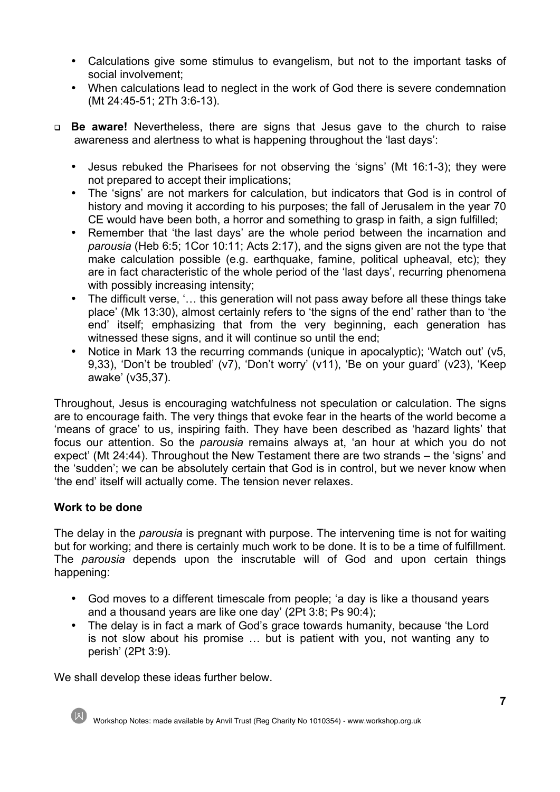- Calculations give some stimulus to evangelism, but not to the important tasks of social involvement;
- When calculations lead to neglect in the work of God there is severe condemnation (Mt 24:45-51; 2Th 3:6-13).
- <sup>q</sup> **Be aware!** Nevertheless, there are signs that Jesus gave to the church to raise awareness and alertness to what is happening throughout the 'last days':
	- Jesus rebuked the Pharisees for not observing the 'signs' (Mt 16:1-3); they were not prepared to accept their implications;
	- The 'signs' are not markers for calculation, but indicators that God is in control of history and moving it according to his purposes; the fall of Jerusalem in the year 70 CE would have been both, a horror and something to grasp in faith, a sign fulfilled;
	- Remember that 'the last days' are the whole period between the incarnation and *parousia* (Heb 6:5; 1Cor 10:11; Acts 2:17), and the signs given are not the type that make calculation possible (e.g. earthquake, famine, political upheaval, etc); they are in fact characteristic of the whole period of the 'last days', recurring phenomena with possibly increasing intensity;
	- The difficult verse, '... this generation will not pass away before all these things take place' (Mk 13:30), almost certainly refers to 'the signs of the end' rather than to 'the end' itself; emphasizing that from the very beginning, each generation has witnessed these signs, and it will continue so until the end;
	- Notice in Mark 13 the recurring commands (unique in apocalyptic); 'Watch out' (v5, 9,33), 'Don't be troubled' (v7), 'Don't worry' (v11), 'Be on your guard' (v23), 'Keep awake' (v35,37).

Throughout, Jesus is encouraging watchfulness not speculation or calculation. The signs are to encourage faith. The very things that evoke fear in the hearts of the world become a 'means of grace' to us, inspiring faith. They have been described as 'hazard lights' that focus our attention. So the *parousia* remains always at, 'an hour at which you do not expect' (Mt 24:44). Throughout the New Testament there are two strands – the 'signs' and the 'sudden'; we can be absolutely certain that God is in control, but we never know when 'the end' itself will actually come. The tension never relaxes.

## **Work to be done**

The delay in the *parousia* is pregnant with purpose. The intervening time is not for waiting but for working; and there is certainly much work to be done. It is to be a time of fulfillment. The *parousia* depends upon the inscrutable will of God and upon certain things happening:

- God moves to a different timescale from people; 'a day is like a thousand years and a thousand years are like one day' (2Pt 3:8; Ps 90:4);
- The delay is in fact a mark of God's grace towards humanity, because 'the Lord is not slow about his promise … but is patient with you, not wanting any to perish' (2Pt 3:9).

We shall develop these ideas further below.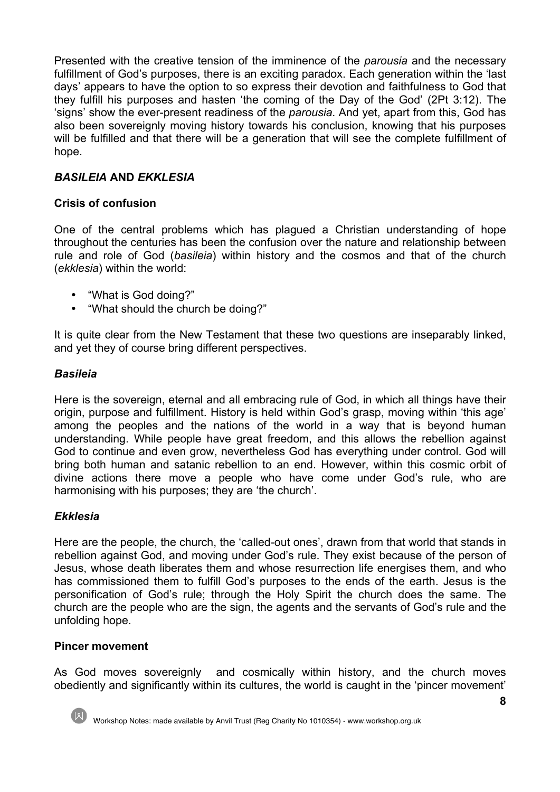Presented with the creative tension of the imminence of the *parousia* and the necessary fulfillment of God's purposes, there is an exciting paradox. Each generation within the 'last days' appears to have the option to so express their devotion and faithfulness to God that they fulfill his purposes and hasten 'the coming of the Day of the God' (2Pt 3:12). The 'signs' show the ever-present readiness of the *parousia*. And yet, apart from this, God has also been sovereignly moving history towards his conclusion, knowing that his purposes will be fulfilled and that there will be a generation that will see the complete fulfillment of hope.

# *BASILEIA* **AND** *EKKLESIA*

## **Crisis of confusion**

One of the central problems which has plagued a Christian understanding of hope throughout the centuries has been the confusion over the nature and relationship between rule and role of God (*basileia*) within history and the cosmos and that of the church (*ekklesia*) within the world:

- "What is God doing?"
- "What should the church be doing?"

It is quite clear from the New Testament that these two questions are inseparably linked, and yet they of course bring different perspectives.

#### *Basileia*

Here is the sovereign, eternal and all embracing rule of God, in which all things have their origin, purpose and fulfillment. History is held within God's grasp, moving within 'this age' among the peoples and the nations of the world in a way that is beyond human understanding. While people have great freedom, and this allows the rebellion against God to continue and even grow, nevertheless God has everything under control. God will bring both human and satanic rebellion to an end. However, within this cosmic orbit of divine actions there move a people who have come under God's rule, who are harmonising with his purposes; they are 'the church'.

#### *Ekklesia*

Here are the people, the church, the 'called-out ones', drawn from that world that stands in rebellion against God, and moving under God's rule. They exist because of the person of Jesus, whose death liberates them and whose resurrection life energises them, and who has commissioned them to fulfill God's purposes to the ends of the earth. Jesus is the personification of God's rule; through the Holy Spirit the church does the same. The church are the people who are the sign, the agents and the servants of God's rule and the unfolding hope.

#### **Pincer movement**

As God moves sovereignly and cosmically within history, and the church moves obediently and significantly within its cultures, the world is caught in the 'pincer movement'

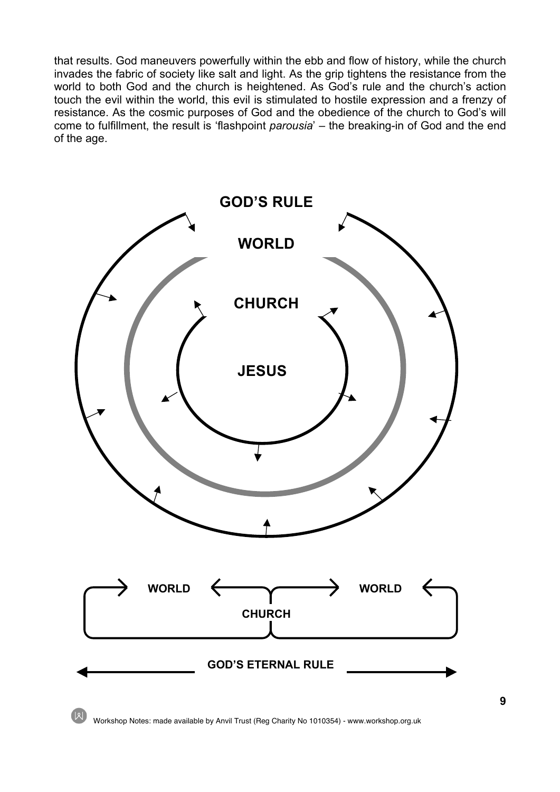that results. God maneuvers powerfully within the ebb and flow of history, while the church invades the fabric of society like salt and light. As the grip tightens the resistance from the world to both God and the church is heightened. As God's rule and the church's action touch the evil within the world, this evil is stimulated to hostile expression and a frenzy of resistance. As the cosmic purposes of God and the obedience of the church to God's will come to fulfillment, the result is 'flashpoint *parousia*' – the breaking-in of God and the end of the age.



Workshop Notes: made available by Anvil Trust (Reg Charity No 1010354) - www.workshop.org.uk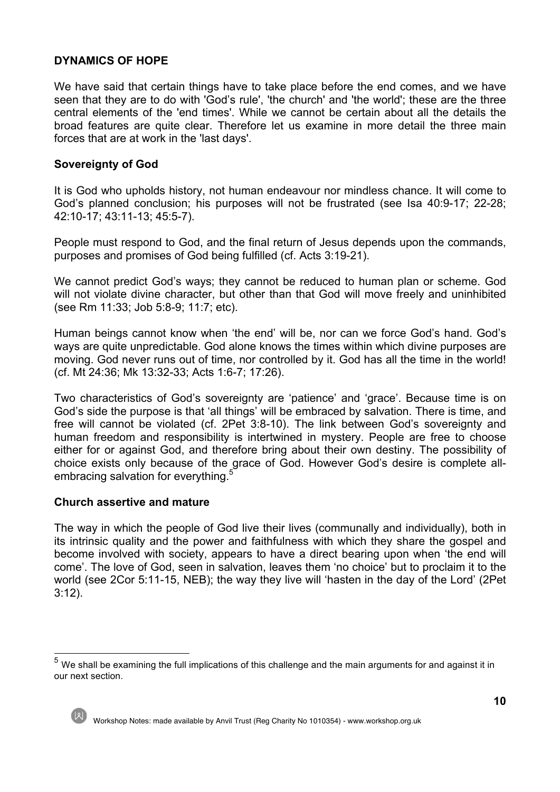## **DYNAMICS OF HOPE**

We have said that certain things have to take place before the end comes, and we have seen that they are to do with 'God's rule', 'the church' and 'the world'; these are the three central elements of the 'end times'. While we cannot be certain about all the details the broad features are quite clear. Therefore let us examine in more detail the three main forces that are at work in the 'last days'.

#### **Sovereignty of God**

It is God who upholds history, not human endeavour nor mindless chance. It will come to God's planned conclusion; his purposes will not be frustrated (see Isa 40:9-17; 22-28; 42:10-17; 43:11-13; 45:5-7).

People must respond to God, and the final return of Jesus depends upon the commands, purposes and promises of God being fulfilled (cf. Acts 3:19-21).

We cannot predict God's ways; they cannot be reduced to human plan or scheme. God will not violate divine character, but other than that God will move freely and uninhibited (see Rm 11:33; Job 5:8-9; 11:7; etc).

Human beings cannot know when 'the end' will be, nor can we force God's hand. God's ways are quite unpredictable. God alone knows the times within which divine purposes are moving. God never runs out of time, nor controlled by it. God has all the time in the world! (cf. Mt 24:36; Mk 13:32-33; Acts 1:6-7; 17:26).

Two characteristics of God's sovereignty are 'patience' and 'grace'. Because time is on God's side the purpose is that 'all things' will be embraced by salvation. There is time, and free will cannot be violated (cf. 2Pet 3:8-10). The link between God's sovereignty and human freedom and responsibility is intertwined in mystery. People are free to choose either for or against God, and therefore bring about their own destiny. The possibility of choice exists only because of the grace of God. However God's desire is complete allembracing salvation for everything.<sup>5</sup>

#### **Church assertive and mature**

The way in which the people of God live their lives (communally and individually), both in its intrinsic quality and the power and faithfulness with which they share the gospel and become involved with society, appears to have a direct bearing upon when 'the end will come'. The love of God, seen in salvation, leaves them 'no choice' but to proclaim it to the world (see 2Cor 5:11-15, NEB); the way they live will 'hasten in the day of the Lord' (2Pet 3:12).

 $<sup>5</sup>$  We shall be examining the full implications of this challenge and the main arguments for and against it in</sup> our next section.



Workshop Notes: made available by Anvil Trust (Reg Charity No 1010354) - www.workshop.org.uk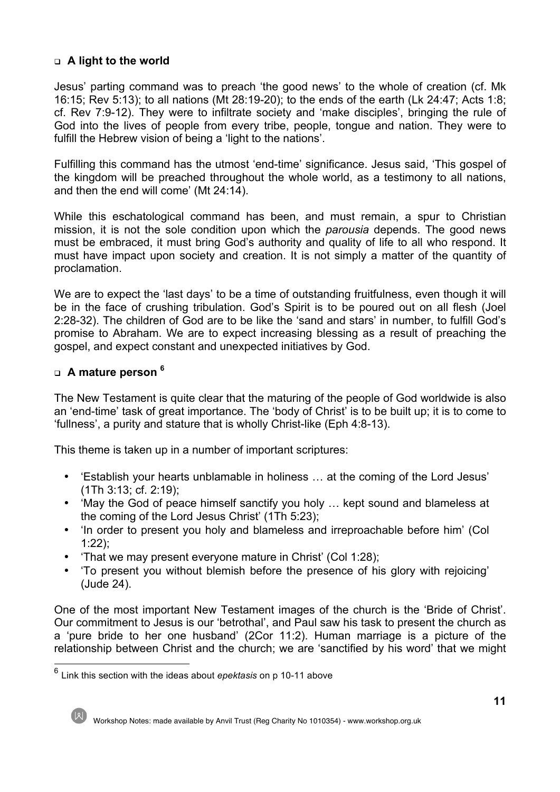## <sup>q</sup> **A light to the world**

Jesus' parting command was to preach 'the good news' to the whole of creation (cf. Mk 16:15; Rev 5:13); to all nations (Mt 28:19-20); to the ends of the earth (Lk 24:47; Acts 1:8; cf. Rev 7:9-12). They were to infiltrate society and 'make disciples', bringing the rule of God into the lives of people from every tribe, people, tongue and nation. They were to fulfill the Hebrew vision of being a 'light to the nations'.

Fulfilling this command has the utmost 'end-time' significance. Jesus said, 'This gospel of the kingdom will be preached throughout the whole world, as a testimony to all nations, and then the end will come' (Mt 24:14).

While this eschatological command has been, and must remain, a spur to Christian mission, it is not the sole condition upon which the *parousia* depends. The good news must be embraced, it must bring God's authority and quality of life to all who respond. It must have impact upon society and creation. It is not simply a matter of the quantity of proclamation.

We are to expect the 'last days' to be a time of outstanding fruitfulness, even though it will be in the face of crushing tribulation. God's Spirit is to be poured out on all flesh (Joel 2:28-32). The children of God are to be like the 'sand and stars' in number, to fulfill God's promise to Abraham. We are to expect increasing blessing as a result of preaching the gospel, and expect constant and unexpected initiatives by God.

#### <sup>q</sup> **A mature person 6**

The New Testament is quite clear that the maturing of the people of God worldwide is also an 'end-time' task of great importance. The 'body of Christ' is to be built up; it is to come to 'fullness', a purity and stature that is wholly Christ-like (Eph 4:8-13).

This theme is taken up in a number of important scriptures:

- 'Establish your hearts unblamable in holiness … at the coming of the Lord Jesus' (1Th 3:13; cf. 2:19);
- 'May the God of peace himself sanctify you holy … kept sound and blameless at the coming of the Lord Jesus Christ' (1Th 5:23);
- 'In order to present you holy and blameless and irreproachable before him' (Col 1:22);
- 'That we may present everyone mature in Christ' (Col 1:28);
- 'To present you without blemish before the presence of his glory with rejoicing' (Jude 24).

One of the most important New Testament images of the church is the 'Bride of Christ'. Our commitment to Jesus is our 'betrothal', and Paul saw his task to present the church as a 'pure bride to her one husband' (2Cor 11:2). Human marriage is a picture of the relationship between Christ and the church; we are 'sanctified by his word' that we might

<sup>6</sup> Link this section with the ideas about *epektasis* on p 10-11 above

Workshop Notes: made available by Anvil Trust (Reg Charity No 1010354) - www.workshop.org.uk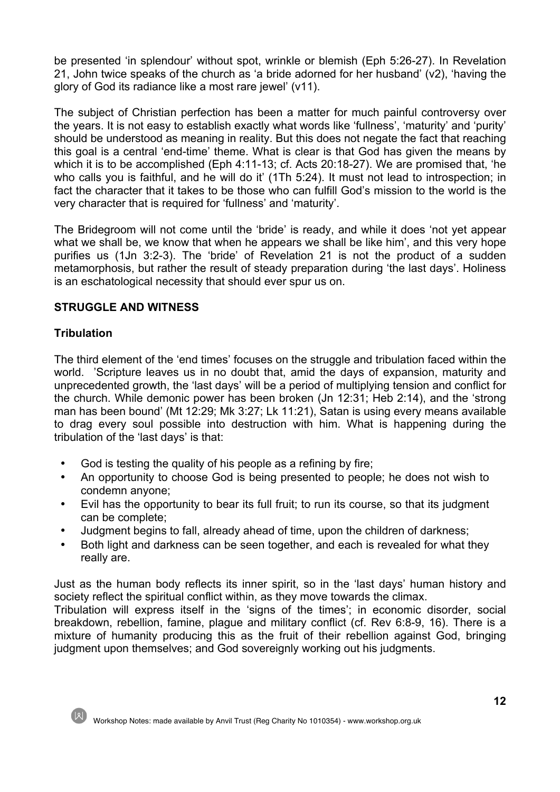be presented 'in splendour' without spot, wrinkle or blemish (Eph 5:26-27). In Revelation 21, John twice speaks of the church as 'a bride adorned for her husband' (v2), 'having the glory of God its radiance like a most rare jewel' (v11).

The subject of Christian perfection has been a matter for much painful controversy over the years. It is not easy to establish exactly what words like 'fullness', 'maturity' and 'purity' should be understood as meaning in reality. But this does not negate the fact that reaching this goal is a central 'end-time' theme. What is clear is that God has given the means by which it is to be accomplished (Eph 4:11-13; cf. Acts 20:18-27). We are promised that, 'he who calls you is faithful, and he will do it' (1Th 5:24). It must not lead to introspection; in fact the character that it takes to be those who can fulfill God's mission to the world is the very character that is required for 'fullness' and 'maturity'.

The Bridegroom will not come until the 'bride' is ready, and while it does 'not yet appear what we shall be, we know that when he appears we shall be like him', and this very hope purifies us (1Jn 3:2-3). The 'bride' of Revelation 21 is not the product of a sudden metamorphosis, but rather the result of steady preparation during 'the last days'. Holiness is an eschatological necessity that should ever spur us on.

## **STRUGGLE AND WITNESS**

# **Tribulation**

The third element of the 'end times' focuses on the struggle and tribulation faced within the world. 'Scripture leaves us in no doubt that, amid the days of expansion, maturity and unprecedented growth, the 'last days' will be a period of multiplying tension and conflict for the church. While demonic power has been broken (Jn 12:31; Heb 2:14), and the 'strong man has been bound' (Mt 12:29; Mk 3:27; Lk 11:21), Satan is using every means available to drag every soul possible into destruction with him. What is happening during the tribulation of the 'last days' is that:

- God is testing the quality of his people as a refining by fire;
- An opportunity to choose God is being presented to people; he does not wish to condemn anyone;
- Evil has the opportunity to bear its full fruit; to run its course, so that its judgment can be complete;
- Judgment begins to fall, already ahead of time, upon the children of darkness;
- Both light and darkness can be seen together, and each is revealed for what they really are.

Just as the human body reflects its inner spirit, so in the 'last days' human history and society reflect the spiritual conflict within, as they move towards the climax.

Tribulation will express itself in the 'signs of the times'; in economic disorder, social breakdown, rebellion, famine, plague and military conflict (cf. Rev 6:8-9, 16). There is a mixture of humanity producing this as the fruit of their rebellion against God, bringing judgment upon themselves; and God sovereignly working out his judgments.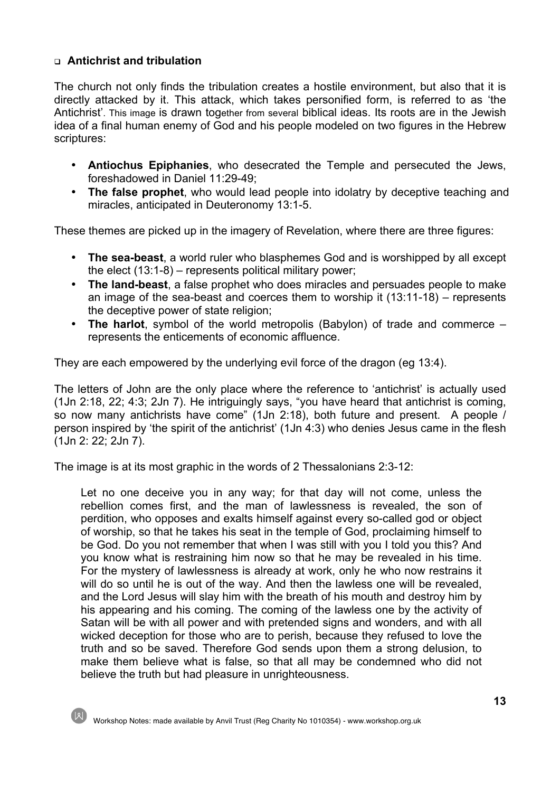## <sup>q</sup> **Antichrist and tribulation**

The church not only finds the tribulation creates a hostile environment, but also that it is directly attacked by it. This attack, which takes personified form, is referred to as 'the Antichrist'. This image is drawn together from several biblical ideas. Its roots are in the Jewish idea of a final human enemy of God and his people modeled on two figures in the Hebrew scriptures:

- **Antiochus Epiphanies**, who desecrated the Temple and persecuted the Jews, foreshadowed in Daniel 11:29-49;
- **The false prophet**, who would lead people into idolatry by deceptive teaching and miracles, anticipated in Deuteronomy 13:1-5.

These themes are picked up in the imagery of Revelation, where there are three figures:

- **The sea-beast**, a world ruler who blasphemes God and is worshipped by all except the elect (13:1-8) – represents political military power;
- **The land-beast**, a false prophet who does miracles and persuades people to make an image of the sea-beast and coerces them to worship it (13:11-18) – represents the deceptive power of state religion;
- **The harlot**, symbol of the world metropolis (Babylon) of trade and commerce represents the enticements of economic affluence.

They are each empowered by the underlying evil force of the dragon (eg 13:4).

The letters of John are the only place where the reference to 'antichrist' is actually used (1Jn 2:18, 22; 4:3; 2Jn 7). He intriguingly says, "you have heard that antichrist is coming, so now many antichrists have come" (1Jn 2:18), both future and present. A people / person inspired by 'the spirit of the antichrist' (1Jn 4:3) who denies Jesus came in the flesh (1Jn 2: 22; 2Jn 7).

The image is at its most graphic in the words of 2 Thessalonians 2:3-12:

Let no one deceive you in any way; for that day will not come, unless the rebellion comes first, and the man of lawlessness is revealed, the son of perdition, who opposes and exalts himself against every so-called god or object of worship, so that he takes his seat in the temple of God, proclaiming himself to be God. Do you not remember that when I was still with you I told you this? And you know what is restraining him now so that he may be revealed in his time. For the mystery of lawlessness is already at work, only he who now restrains it will do so until he is out of the way. And then the lawless one will be revealed, and the Lord Jesus will slay him with the breath of his mouth and destroy him by his appearing and his coming. The coming of the lawless one by the activity of Satan will be with all power and with pretended signs and wonders, and with all wicked deception for those who are to perish, because they refused to love the truth and so be saved. Therefore God sends upon them a strong delusion, to make them believe what is false, so that all may be condemned who did not believe the truth but had pleasure in unrighteousness.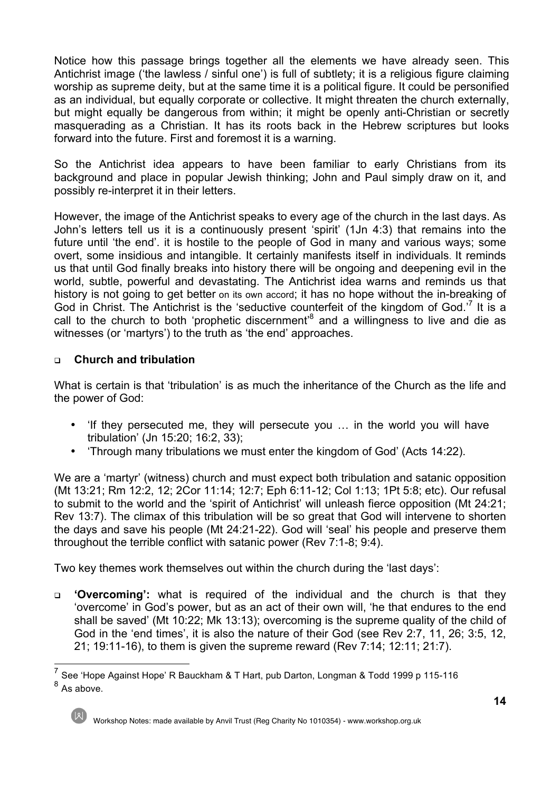Notice how this passage brings together all the elements we have already seen. This Antichrist image ('the lawless / sinful one') is full of subtlety; it is a religious figure claiming worship as supreme deity, but at the same time it is a political figure. It could be personified as an individual, but equally corporate or collective. It might threaten the church externally, but might equally be dangerous from within; it might be openly anti-Christian or secretly masquerading as a Christian. It has its roots back in the Hebrew scriptures but looks forward into the future. First and foremost it is a warning.

So the Antichrist idea appears to have been familiar to early Christians from its background and place in popular Jewish thinking; John and Paul simply draw on it, and possibly re-interpret it in their letters.

However, the image of the Antichrist speaks to every age of the church in the last days. As John's letters tell us it is a continuously present 'spirit' (1Jn 4:3) that remains into the future until 'the end'. it is hostile to the people of God in many and various ways; some overt, some insidious and intangible. It certainly manifests itself in individuals. It reminds us that until God finally breaks into history there will be ongoing and deepening evil in the world, subtle, powerful and devastating. The Antichrist idea warns and reminds us that history is not going to get better on its own accord; it has no hope without the in-breaking of God in Christ. The Antichrist is the 'seductive counterfeit of the kingdom of God.<sup>7</sup> It is a call to the church to both 'prophetic discernment'<sup>8</sup> and a willingness to live and die as witnesses (or 'martyrs') to the truth as 'the end' approaches.

## <sup>q</sup> **Church and tribulation**

What is certain is that 'tribulation' is as much the inheritance of the Church as the life and the power of God:

- 'If they persecuted me, they will persecute you … in the world you will have tribulation' (Jn 15:20; 16:2, 33);
- 'Through many tribulations we must enter the kingdom of God' (Acts 14:22).

We are a 'martyr' (witness) church and must expect both tribulation and satanic opposition (Mt 13:21; Rm 12:2, 12; 2Cor 11:14; 12:7; Eph 6:11-12; Col 1:13; 1Pt 5:8; etc). Our refusal to submit to the world and the 'spirit of Antichrist' will unleash fierce opposition (Mt 24:21; Rev 13:7). The climax of this tribulation will be so great that God will intervene to shorten the days and save his people (Mt 24:21-22). God will 'seal' his people and preserve them throughout the terrible conflict with satanic power (Rev 7:1-8; 9:4).

Two key themes work themselves out within the church during the 'last days':

<sup>q</sup> **'Overcoming':** what is required of the individual and the church is that they 'overcome' in God's power, but as an act of their own will, 'he that endures to the end shall be saved' (Mt 10:22; Mk 13:13); overcoming is the supreme quality of the child of God in the 'end times', it is also the nature of their God (see Rev 2:7, 11, 26; 3:5, 12, 21; 19:11-16), to them is given the supreme reward (Rev 7:14; 12:11; 21:7).

<sup>7</sup> See 'Hope Against Hope' R Bauckham & T Hart, pub Darton, Longman & Todd 1999 p 115-116  $8$  As above.

Workshop Notes: made available by Anvil Trust (Reg Charity No 1010354) - www.workshop.org.uk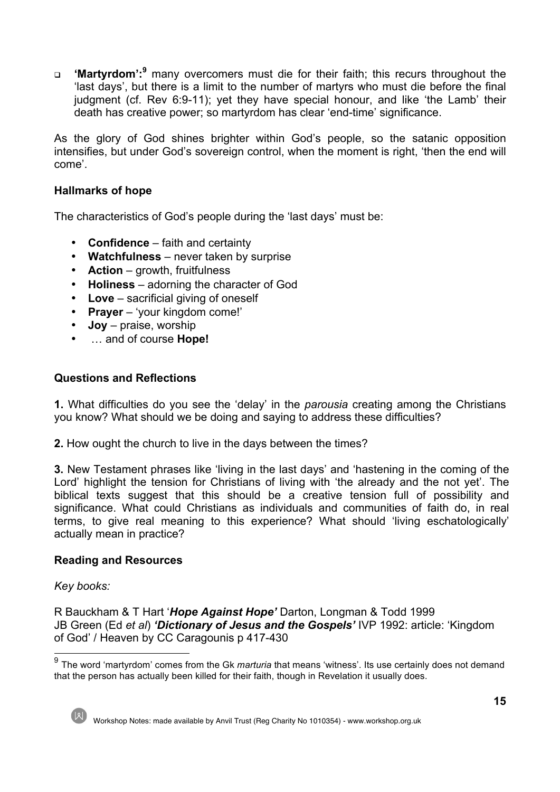<sup>q</sup> **'Martyrdom':<sup>9</sup>** many overcomers must die for their faith; this recurs throughout the 'last days', but there is a limit to the number of martyrs who must die before the final judgment (cf. Rev 6:9-11); yet they have special honour, and like 'the Lamb' their death has creative power; so martyrdom has clear 'end-time' significance.

As the glory of God shines brighter within God's people, so the satanic opposition intensifies, but under God's sovereign control, when the moment is right, 'then the end will come'.

## **Hallmarks of hope**

The characteristics of God's people during the 'last days' must be:

- **Confidence** faith and certainty
- **Watchfulness** never taken by surprise
- **Action** growth, fruitfulness
- **Holiness** adorning the character of God
- **Love** sacrificial giving of oneself
- **Prayer** 'your kingdom come!'
- **Joy** praise, worship
- … and of course **Hope!**

## **Questions and Reflections**

**1.** What difficulties do you see the 'delay' in the *parousia* creating among the Christians you know? What should we be doing and saying to address these difficulties?

**2.** How ought the church to live in the days between the times?

**3.** New Testament phrases like 'living in the last days' and 'hastening in the coming of the Lord' highlight the tension for Christians of living with 'the already and the not yet'. The biblical texts suggest that this should be a creative tension full of possibility and significance. What could Christians as individuals and communities of faith do, in real terms, to give real meaning to this experience? What should 'living eschatologically' actually mean in practice?

#### **Reading and Resources**

#### *Key books:*

R Bauckham & T Hart '*Hope Against Hope'* Darton, Longman & Todd 1999 JB Green (Ed *et al*) *'Dictionary of Jesus and the Gospels'* IVP 1992: article: 'Kingdom of God' / Heaven by CC Caragounis p 417-430

Workshop Notes: made available by Anvil Trust (Reg Charity No 1010354) - www.workshop.org.uk

<sup>9</sup> The word 'martyrdom' comes from the Gk *marturia* that means 'witness'. Its use certainly does not demand that the person has actually been killed for their faith, though in Revelation it usually does.